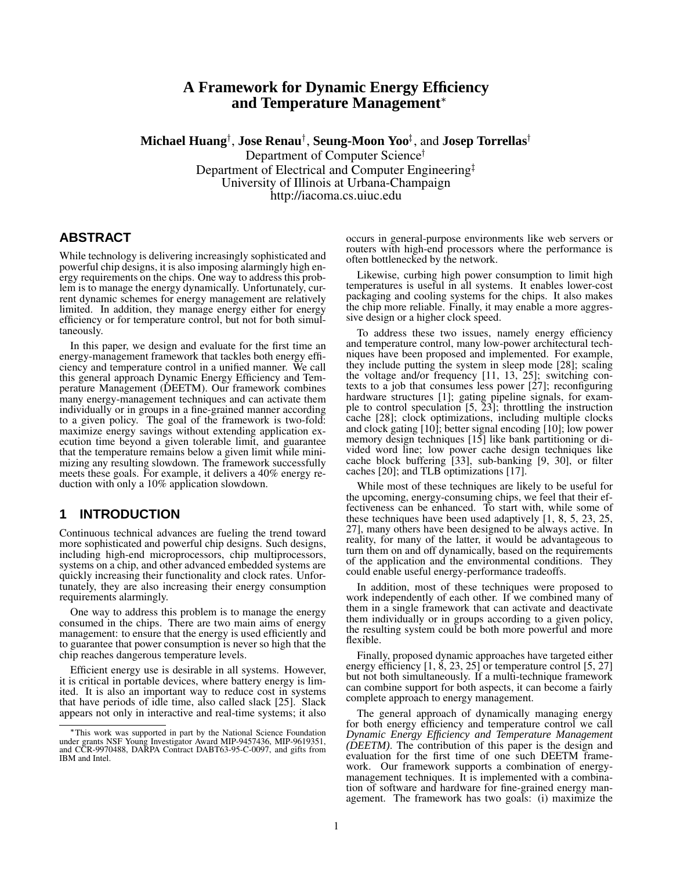# **A Framework for Dynamic Energy Efficiency and Temperature Management**

 $\mathbf{Michael \: Huang^{\dagger}, Jose \: Renau^{\dagger}, Seung-Moon \: Yoo^{\ddagger}, and Joseph Torrellas^{\dagger}}$ Department of Computer Science Department of Electrical and Computer Engineering<sup> $\ddagger$ </sup> University of Illinois at Urbana-Champaign http://iacoma.cs.uiuc.edu

# **ABSTRACT**

While technology is delivering increasingly sophisticated and powerful chip designs, it is also imposing alarmingly high energy requirements on the chips. One way to address this problem is to manage the energy dynamically. Unfortunately, current dynamic schemes for energy management are relatively limited. In addition, they manage energy either for energy efficiency or for temperature control, but not for both simultaneously.

In this paper, we design and evaluate for the first time an energy-management framework that tackles both energy efficiency and temperature control in a unified manner. We call this general approach Dynamic Energy Efficiency and Temperature Management (DEETM). Our framework combines many energy-management techniques and can activate them individually or in groups in a fine-grained manner according to a given policy. The goal of the framework is two-fold: maximize energy savings without extending application execution time beyond a given tolerable limit, and guarantee that the temperature remains below a given limit while minimizing any resulting slowdown. The framework successfully meets these goals. For example, it delivers a 40% energy reduction with only a 10% application slowdown.

# **1 INTRODUCTION**

Continuous technical advances are fueling the trend toward more sophisticated and powerful chip designs. Such designs, including high-end microprocessors, chip multiprocessors, systems on a chip, and other advanced embedded systems are quickly increasing their functionality and clock rates. Unfortunately, they are also increasing their energy consumption requirements alarmingly.

One way to address this problem is to manage the energy consumed in the chips. There are two main aims of energy management: to ensure that the energy is used efficiently and to guarantee that power consumption is never so high that the chip reaches dangerous temperature levels.

Efficient energy use is desirable in all systems. However, it is critical in portable devices, where battery energy is limited. It is also an important way to reduce cost in systems that have periods of idle time, also called slack [25]. Slack appears not only in interactive and real-time systems; it also occurs in general-purpose environments like web servers or routers with high-end processors where the performance is often bottlenecked by the network.

Likewise, curbing high power consumption to limit high temperatures is useful in all systems. It enables lower-cost packaging and cooling systems for the chips. It also makes the chip more reliable. Finally, it may enable a more aggressive design or a higher clock speed.

To address these two issues, namely energy efficiency and temperature control, many low-power architectural techniques have been proposed and implemented. For example, they include putting the system in sleep mode [28]; scaling the voltage and/or frequency [11, 13, 25]; switching contexts to a job that consumes less power  $[27]$ ; reconfiguring hardware structures [1]; gating pipeline signals, for example to control speculation  $[5, 23]$ ; throttling the instruction cache [28]; clock optimizations, including multiple clocks and clock gating [10]; better signal encoding [10]; low power memory design techniques [15] like bank partitioning or divided word line; low power cache design techniques like cache block buffering [33], sub-banking [9, 30], or filter caches [20]; and TLB optimizations [17].

While most of these techniques are likely to be useful for the upcoming, energy-consuming chips, we feel that their effectiveness can be enhanced. To start with, while some of these techniques have been used adaptively [1, 8, 5, 23, 25, 27], many others have been designed to be always active. In reality, for many of the latter, it would be advantageous to turn them on and off dynamically, based on the requirements of the application and the environmental conditions. They could enable useful energy-performance tradeoffs.

In addition, most of these techniques were proposed to work independently of each other. If we combined many of them in a single framework that can activate and deactivate them individually or in groups according to a given policy, the resulting system could be both more powerful and more flexible.

Finally, proposed dynamic approaches have targeted either energy efficiency [1, 8, 23, 25] or temperature control [5, 27] but not both simultaneously. If a multi-technique framework can combine support for both aspects, it can become a fairly complete approach to energy management.

The general approach of dynamically managing energy for both energy efficiency and temperature control we call *Dynamic Energy Efficiency and Temperature Management (DEETM)*. The contribution of this paper is the design and evaluation for the first time of one such DEETM framework. Our framework supports a combination of energymanagement techniques. It is implemented with a combination of software and hardware for fine-grained energy management. The framework has two goals: (i) maximize the

This work was supported in part by the National Science Foundation under grants NSF Young Investigator Award MIP-9457436, MIP-9619351, and CCR-9970488, DARPA Contract DABT63-95-C-0097, and gifts from IBM and Intel.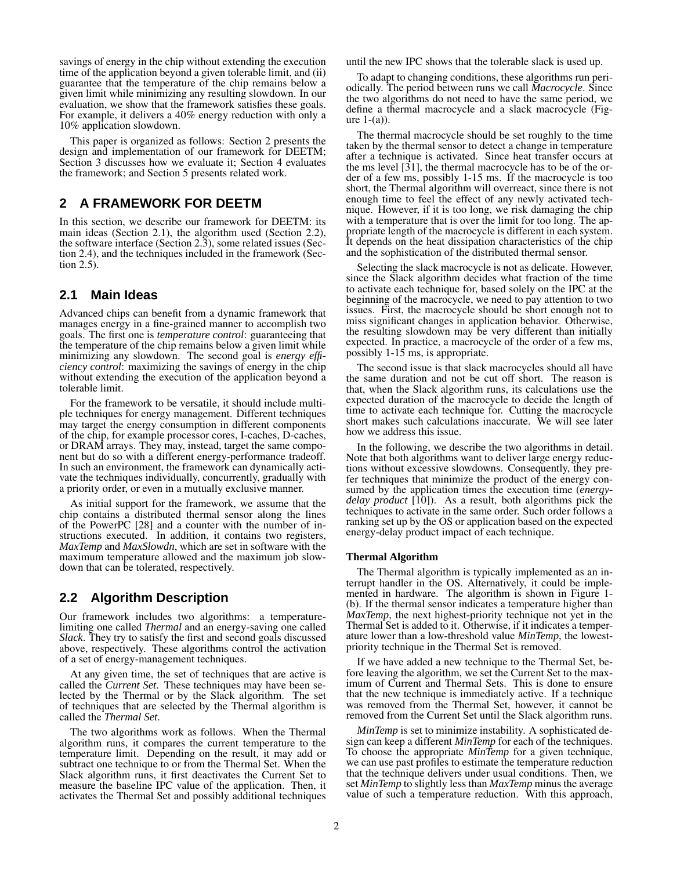savings of energy in the chip without extending the execution time of the application beyond a given tolerable limit, and (ii) guarantee that the temperature of the chip remains below a given limit while minimizing any resulting slowdown. In our evaluation, we show that the framework satisfies these goals. For example, it delivers a 40% energy reduction with only a 10% application slowdown.

This paper is organized as follows: Section 2 presents the design and implementation of our framework for DEETM; Section 3 discusses how we evaluate it; Section 4 evaluates the framework; and Section 5 presents related work.

# **2 A FRAMEWORK FOR DEETM**

In this section, we describe our framework for DEETM: its main ideas (Section 2.1), the algorithm used (Section 2.2), the software interface (Section 2.3), some related issues (Section 2.4), and the techniques included in the framework (Section 2.5).

# **2.1 Main Ideas**

Advanced chips can benefit from a dynamic framework that manages energy in a fine-grained manner to accomplish two goals. The first one is *temperature control*: guaranteeing that the temperature of the chip remains below a given limit while minimizing any slowdown. The second goal is *energy efficiency control*: maximizing the savings of energy in the chip without extending the execution of the application beyond a tolerable limit.

For the framework to be versatile, it should include multiple techniques for energy management. Different techniques may target the energy consumption in different components of the chip, for example processor cores, I-caches, D-caches, or DRAM arrays. They may, instead, target the same component but do so with a different energy-performance tradeoff. In such an environment, the framework can dynamically activate the techniques individually, concurrently, gradually with a priority order, or even in a mutually exclusive manner.

As initial support for the framework, we assume that the chip contains a distributed thermal sensor along the lines of the PowerPC [28] and a counter with the number of instructions executed. In addition, it contains two registers, *MaxTemp* and *MaxSlowdn*, which are set in software with the maximum temperature allowed and the maximum job slowdown that can be tolerated, respectively.

# **2.2 Algorithm Description**

Our framework includes two algorithms: a temperaturelimiting one called *Thermal* and an energy-saving one called *Slack*. They try to satisfy the first and second goals discussed above, respectively. These algorithms control the activation of a set of energy-management techniques.

At any given time, the set of techniques that are active is called the *Current Set*. These techniques may have been selected by the Thermal or by the Slack algorithm. The set of techniques that are selected by the Thermal algorithm is called the *Thermal Set*.

The two algorithms work as follows. When the Thermal algorithm runs, it compares the current temperature to the temperature limit. Depending on the result, it may add or subtract one technique to or from the Thermal Set. When the Slack algorithm runs, it first deactivates the Current Set to measure the baseline IPC value of the application. Then, it activates the Thermal Set and possibly additional techniques until the new IPC shows that the tolerable slack is used up.

To adapt to changing conditions, these algorithms run periodically. The period between runs we call *Macrocycle*. Since the two algorithms do not need to have the same period, we define a thermal macrocycle and a slack macrocycle (Figure  $1-(a)$ ).

The thermal macrocycle should be set roughly to the time taken by the thermal sensor to detect a change in temperature after a technique is activated. Since heat transfer occurs at the ms level [31], the thermal macrocycle has to be of the order of a few ms, possibly 1-15 ms. If the macrocycle is too short, the Thermal algorithm will overreact, since there is not enough time to feel the effect of any newly activated technique. However, if it is too long, we risk damaging the chip with a temperature that is over the limit for too long. The appropriate length of the macrocycle is different in each system. It depends on the heat dissipation characteristics of the chip and the sophistication of the distributed thermal sensor.

Selecting the slack macrocycle is not as delicate. However, since the Slack algorithm decides what fraction of the time to activate each technique for, based solely on the IPC at the beginning of the macrocycle, we need to pay attention to two issues. First, the macrocycle should be short enough not to miss significant changes in application behavior. Otherwise, the resulting slowdown may be very different than initially expected. In practice, a macrocycle of the order of a few ms, possibly 1-15 ms, is appropriate.

The second issue is that slack macrocycles should all have the same duration and not be cut off short. The reason is that, when the Slack algorithm runs, its calculations use the expected duration of the macrocycle to decide the length of time to activate each technique for. Cutting the macrocycle short makes such calculations inaccurate. We will see later how we address this issue.

In the following, we describe the two algorithms in detail. Note that both algorithms want to deliver large energy reductions without excessive slowdowns. Consequently, they prefer techniques that minimize the product of the energy consumed by the application times the execution time (*energydelay product* [10]). As a result, both algorithms pick the techniques to activate in the same order. Such order follows a ranking set up by the OS or application based on the expected energy-delay product impact of each technique.

## **Thermal Algorithm**

The Thermal algorithm is typically implemented as an interrupt handler in the OS. Alternatively, it could be implemented in hardware. The algorithm is shown in Figure 1- (b). If the thermal sensor indicates a temperature higher than *MaxTemp*, the next highest-priority technique not yet in the Thermal Set is added to it. Otherwise, if it indicates a temperature lower than a low-threshold value *MinTemp*, the lowestpriority technique in the Thermal Set is removed.

If we have added a new technique to the Thermal Set, before leaving the algorithm, we set the Current Set to the maximum of Current and Thermal Sets. This is done to ensure that the new technique is immediately active. If a technique was removed from the Thermal Set, however, it cannot be removed from the Current Set until the Slack algorithm runs.

*MinTemp* is set to minimize instability. A sophisticated design can keep a different *MinTemp* for each of the techniques. To choose the appropriate *MinTemp* for a given technique, we can use past profiles to estimate the temperature reduction that the technique delivers under usual conditions. Then, we set *MinTemp* to slightly less than *MaxTemp* minus the average value of such a temperature reduction. With this approach,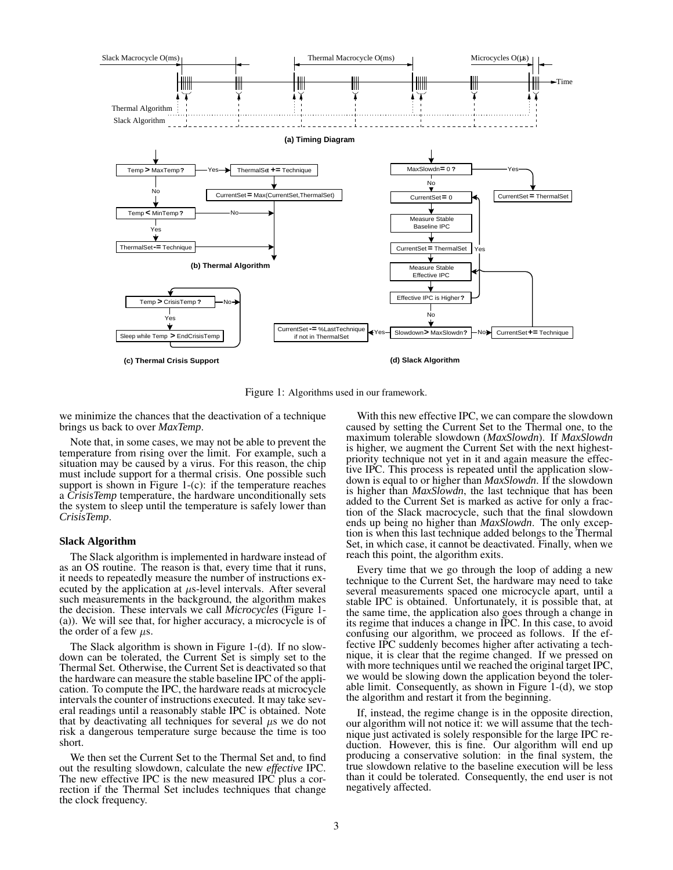

Figure 1: Algorithms used in our framework.

we minimize the chances that the deactivation of a technique brings us back to over *MaxTemp*.

Note that, in some cases, we may not be able to prevent the temperature from rising over the limit. For example, such a situation may be caused by a virus. For this reason, the chip must include support for a thermal crisis. One possible such support is shown in Figure 1- $(c)$ : if the temperature reaches a *CrisisTemp* temperature, the hardware unconditionally sets the system to sleep until the temperature is safely lower than *CrisisTemp*.

## **Slack Algorithm**

The Slack algorithm is implemented in hardware instead of as an OS routine. The reason is that, every time that it runs, it needs to repeatedly measure the number of instructions executed by the application at  $\mu$ s-level intervals. After several such measurements in the background, the algorithm makes the decision. These intervals we call *Microcycles* (Figure 1- (a)). We will see that, for higher accuracy, a microcycle is of the order of a few  $\mu$ s.

The Slack algorithm is shown in Figure 1-(d). If no slowdown can be tolerated, the Current Set is simply set to the Thermal Set. Otherwise, the Current Set is deactivated so that the hardware can measure the stable baseline IPC of the application. To compute the IPC, the hardware reads at microcycle intervals the counter of instructions executed. It may take several readings until a reasonably stable IPC is obtained. Note that by deactivating all techniques for several  $\mu$ s we do not risk a dangerous temperature surge because the time is too short.

We then set the Current Set to the Thermal Set and, to find out the resulting slowdown, calculate the new *effective* IPC. The new effective IPC is the new measured IPC plus a correction if the Thermal Set includes techniques that change the clock frequency.

With this new effective IPC, we can compare the slowdown caused by setting the Current Set to the Thermal one, to the maximum tolerable slowdown (*MaxSlowdn*). If *MaxSlowdn* is higher, we augment the Current Set with the next highestpriority technique not yet in it and again measure the effective IPC. This process is repeated until the application slowdown is equal to or higher than *MaxSlowdn*. If the slowdown is higher than *MaxSlowdn*, the last technique that has been added to the Current Set is marked as active for only a fraction of the Slack macrocycle, such that the final slowdown ends up being no higher than *MaxSlowdn*. The only exception is when this last technique added belongs to the Thermal Set, in which case, it cannot be deactivated. Finally, when we reach this point, the algorithm exits.

Every time that we go through the loop of adding a new technique to the Current Set, the hardware may need to take several measurements spaced one microcycle apart, until a stable IPC is obtained. Unfortunately, it is possible that, at the same time, the application also goes through a change in its regime that induces a change in IPC. In this case, to avoid confusing our algorithm, we proceed as follows. If the effective IPC suddenly becomes higher after activating a technique, it is clear that the regime changed. If we pressed on with more techniques until we reached the original target IPC, we would be slowing down the application beyond the tolerable limit. Consequently, as shown in Figure 1-(d), we stop the algorithm and restart it from the beginning.

If, instead, the regime change is in the opposite direction, our algorithm will not notice it: we will assume that the technique just activated is solely responsible for the large IPC reduction. However, this is fine. Our algorithm will end up producing a conservative solution: in the final system, the true slowdown relative to the baseline execution will be less than it could be tolerated. Consequently, the end user is not negatively affected.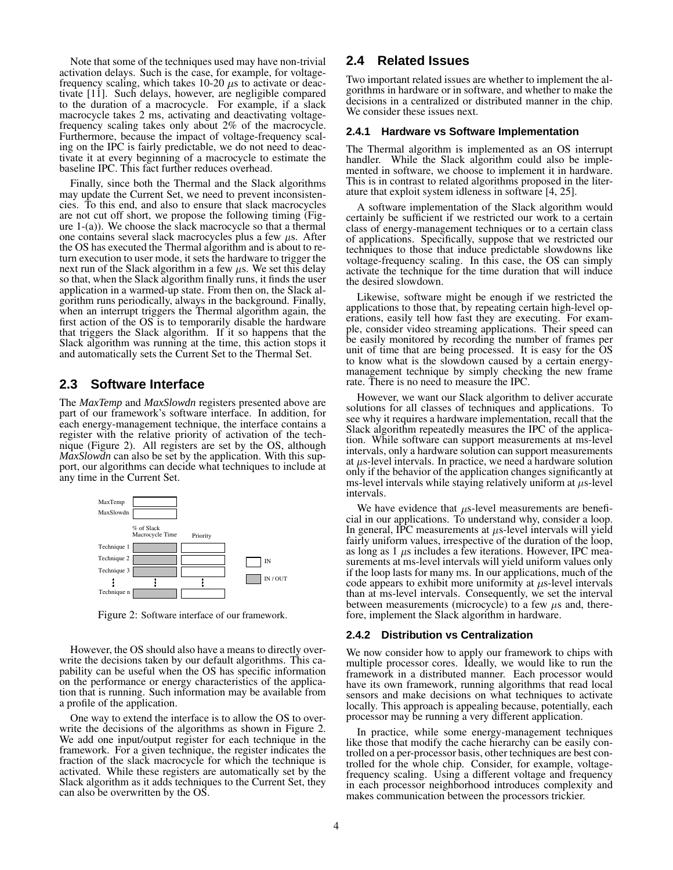Note that some of the techniques used may have non-trivial activation delays. Such is the case, for example, for voltagefrequency scaling, which takes  $10\n-20$   $\mu$ s to activate or deactivate [11]. Such delays, however, are negligible compared to the duration of a macrocycle. For example, if a slack macrocycle takes 2 ms, activating and deactivating voltagefrequency scaling takes only about 2% of the macrocycle. Furthermore, because the impact of voltage-frequency scaling on the IPC is fairly predictable, we do not need to deactivate it at every beginning of a macrocycle to estimate the baseline IPC. This fact further reduces overhead.

Finally, since both the Thermal and the Slack algorithms may update the Current Set, we need to prevent inconsistencies. To this end, and also to ensure that slack macrocycles are not cut off short, we propose the following timing (Figure 1-(a)). We choose the slack macrocycle so that a thermal one contains several slack macrocycles plus a few  $\mu$ s. After the OS has executed the Thermal algorithm and is about to return execution to user mode, it sets the hardware to trigger the next run of the Slack algorithm in a few  $\mu$ s. We set this delay so that, when the Slack algorithm finally runs, it finds the user application in a warmed-up state. From then on, the Slack algorithm runs periodically, always in the background. Finally, when an interrupt triggers the Thermal algorithm again, the first action of the OS is to temporarily disable the hardware that triggers the Slack algorithm. If it so happens that the Slack algorithm was running at the time, this action stops it and automatically sets the Current Set to the Thermal Set.

# **2.3 Software Interface**

The *MaxTemp* and *MaxSlowdn* registers presented above are part of our framework's software interface. In addition, for each energy-management technique, the interface contains a register with the relative priority of activation of the technique (Figure 2). All registers are set by the OS, although *MaxSlowdn* can also be set by the application. With this support, our algorithms can decide what techniques to include at any time in the Current Set.



Figure 2: Software interface of our framework.

However, the OS should also have a means to directly overwrite the decisions taken by our default algorithms. This capability can be useful when the OS has specific information on the performance or energy characteristics of the application that is running. Such information may be available from a profile of the application.

One way to extend the interface is to allow the OS to overwrite the decisions of the algorithms as shown in Figure 2. We add one input/output register for each technique in the framework. For a given technique, the register indicates the fraction of the slack macrocycle for which the technique is activated. While these registers are automatically set by the Slack algorithm as it adds techniques to the Current Set, they can also be overwritten by the OS.

# **2.4 Related Issues**

Two important related issues are whether to implement the algorithms in hardware or in software, and whether to make the decisions in a centralized or distributed manner in the chip. We consider these issues next.

## **2.4.1 Hardware vs Software Implementation**

The Thermal algorithm is implemented as an OS interrupt handler. While the Slack algorithm could also be implemented in software, we choose to implement it in hardware. This is in contrast to related algorithms proposed in the literature that exploit system idleness in software [4, 25].

A software implementation of the Slack algorithm would certainly be sufficient if we restricted our work to a certain class of energy-management techniques or to a certain class of applications. Specifically, suppose that we restricted our techniques to those that induce predictable slowdowns like voltage-frequency scaling. In this case, the OS can simply activate the technique for the time duration that will induce the desired slowdown.

Likewise, software might be enough if we restricted the applications to those that, by repeating certain high-level operations, easily tell how fast they are executing. For example, consider video streaming applications. Their speed can be easily monitored by recording the number of frames per unit of time that are being processed. It is easy for the OS to know what is the slowdown caused by a certain energymanagement technique by simply checking the new frame rate. There is no need to measure the IPC.

However, we want our Slack algorithm to deliver accurate solutions for all classes of techniques and applications. To see why it requires a hardware implementation, recall that the Slack algorithm repeatedly measures the IPC of the application. While software can support measurements at ms-level intervals, only a hardware solution can support measurements at  $\mu$ s-level intervals. In practice, we need a hardware solution only if the behavior of the application changes significantly at ms-level intervals while staying relatively uniform at  $\mu$ s-level intervals.

We have evidence that  $\mu$ s-level measurements are beneficial in our applications. To understand why, consider a loop. In general, IPC measurements at  $\mu$ s-level intervals will yield fairly uniform values, irrespective of the duration of the loop, as long as  $1 \mu s$  includes a few iterations. However, IPC measurements at ms-level intervals will yield uniform values only if the loop lasts for many ms. In our applications, much of the code appears to exhibit more uniformity at  $\mu$ s-level intervals than at ms-level intervals. Consequently, we set the interval between measurements (microcycle) to a few  $\mu$ s and, therefore, implement the Slack algorithm in hardware.

## **2.4.2 Distribution vs Centralization**

We now consider how to apply our framework to chips with multiple processor cores. Ideally, we would like to run the framework in a distributed manner. Each processor would have its own framework, running algorithms that read local sensors and make decisions on what techniques to activate locally. This approach is appealing because, potentially, each processor may be running a very different application.

In practice, while some energy-management techniques like those that modify the cache hierarchy can be easily controlled on a per-processor basis, other techniques are best controlled for the whole chip. Consider, for example, voltagefrequency scaling. Using a different voltage and frequency in each processor neighborhood introduces complexity and makes communication between the processors trickier.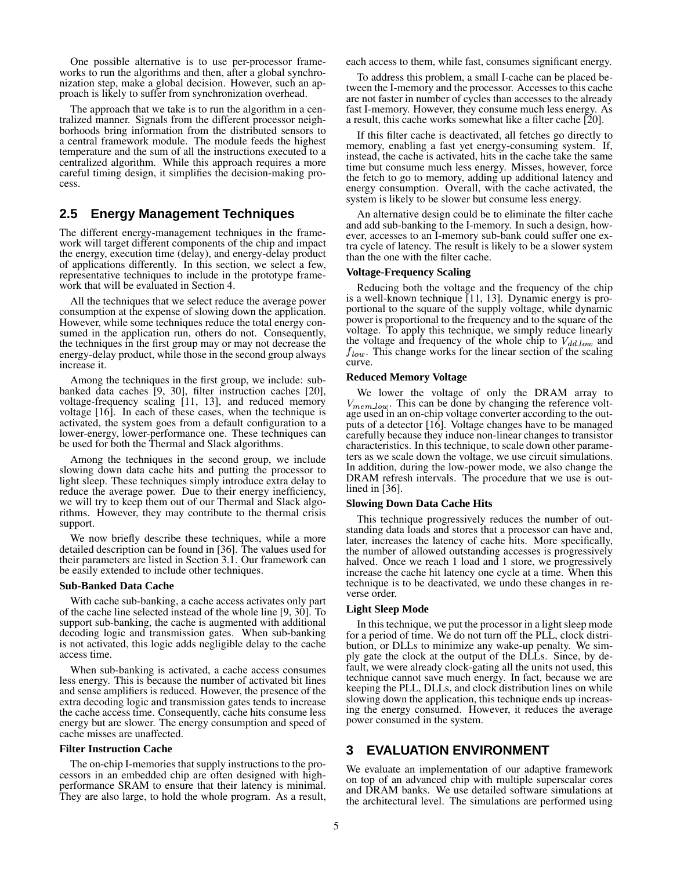One possible alternative is to use per-processor frameworks to run the algorithms and then, after a global synchronization step, make a global decision. However, such an approach is likely to suffer from synchronization overhead.

The approach that we take is to run the algorithm in a centralized manner. Signals from the different processor neighborhoods bring information from the distributed sensors to a central framework module. The module feeds the highest temperature and the sum of all the instructions executed to a centralized algorithm. While this approach requires a more careful timing design, it simplifies the decision-making process.

# **2.5 Energy Management Techniques**

The different energy-management techniques in the framework will target different components of the chip and impact the energy, execution time (delay), and energy-delay product of applications differently. In this section, we select a few, representative techniques to include in the prototype framework that will be evaluated in Section 4.

All the techniques that we select reduce the average power consumption at the expense of slowing down the application. However, while some techniques reduce the total energy consumed in the application run, others do not. Consequently, the techniques in the first group may or may not decrease the energy-delay product, while those in the second group always increase it.

Among the techniques in the first group, we include: subbanked data caches [9, 30], filter instruction caches [20], voltage-frequency scaling [11, 13], and reduced memory voltage [16]. In each of these cases, when the technique is activated, the system goes from a default configuration to a lower-energy, lower-performance one. These techniques can be used for both the Thermal and Slack algorithms.

Among the techniques in the second group, we include slowing down data cache hits and putting the processor to light sleep. These techniques simply introduce extra delay to reduce the average power. Due to their energy inefficiency, we will try to keep them out of our Thermal and Slack algorithms. However, they may contribute to the thermal crisis support.

We now briefly describe these techniques, while a more detailed description can be found in [36]. The values used for their parameters are listed in Section 3.1. Our framework can be easily extended to include other techniques.

### **Sub-Banked Data Cache**

With cache sub-banking, a cache access activates only part of the cache line selected instead of the whole line [9, 30]. To support sub-banking, the cache is augmented with additional decoding logic and transmission gates. When sub-banking is not activated, this logic adds negligible delay to the cache access time.

When sub-banking is activated, a cache access consumes less energy. This is because the number of activated bit lines and sense amplifiers is reduced. However, the presence of the extra decoding logic and transmission gates tends to increase the cache access time. Consequently, cache hits consume less energy but are slower. The energy consumption and speed of cache misses are unaffected.

### **Filter Instruction Cache**

The on-chip I-memories that supply instructions to the processors in an embedded chip are often designed with highperformance SRAM to ensure that their latency is minimal. They are also large, to hold the whole program. As a result, each access to them, while fast, consumes significant energy.

To address this problem, a small I-cache can be placed between the I-memory and the processor. Accesses to this cache are not faster in number of cycles than accesses to the already fast I-memory. However, they consume much less energy. As a result, this cache works somewhat like a filter cache [20].

If this filter cache is deactivated, all fetches go directly to memory, enabling a fast yet energy-consuming system. If, instead, the cache is activated, hits in the cache take the same time but consume much less energy. Misses, however, force the fetch to go to memory, adding up additional latency and energy consumption. Overall, with the cache activated, the system is likely to be slower but consume less energy.

An alternative design could be to eliminate the filter cache and add sub-banking to the I-memory. In such a design, however, accesses to an I-memory sub-bank could suffer one extra cycle of latency. The result is likely to be a slower system than the one with the filter cache.

### **Voltage-Frequency Scaling**

Reducing both the voltage and the frequency of the chip is a well-known technique [11, 13]. Dynamic energy is proportional to the square of the supply voltage, while dynamic power is proportional to the frequency and to the square of the voltage. To apply this technique, we simply reduce linearly the voltage and frequency of the whole chip to  $V_{dd,low}$  and  $f_{low}$ . This change works for the linear section of the scaling curve.

### **Reduced Memory Voltage**

We lower the voltage of only the DRAM array to  $V_{mem, low}$ . This can be done by changing the reference voltage used in an on-chip voltage converter according to the outputs of a detector [16]. Voltage changes have to be managed carefully because they induce non-linear changes to transistor characteristics. In this technique, to scale down other parameters as we scale down the voltage, we use circuit simulations. In addition, during the low-power mode, we also change the DRAM refresh intervals. The procedure that we use is outlined in [36].

### **Slowing Down Data Cache Hits**

This technique progressively reduces the number of outstanding data loads and stores that a processor can have and, later, increases the latency of cache hits. More specifically, the number of allowed outstanding accesses is progressively halved. Once we reach 1 load and 1 store, we progressively increase the cache hit latency one cycle at a time. When this technique is to be deactivated, we undo these changes in reverse order.

## **Light Sleep Mode**

In this technique, we put the processor in a light sleep mode for a period of time. We do not turn off the PLL, clock distribution, or DLLs to minimize any wake-up penalty. We simply gate the clock at the output of the DLLs. Since, by default, we were already clock-gating all the units not used, this technique cannot save much energy. In fact, because we are keeping the PLL, DLLs, and clock distribution lines on while slowing down the application, this technique ends up increasing the energy consumed. However, it reduces the average power consumed in the system.

# **3 EVALUATION ENVIRONMENT**

We evaluate an implementation of our adaptive framework on top of an advanced chip with multiple superscalar cores and DRAM banks. We use detailed software simulations at the architectural level. The simulations are performed using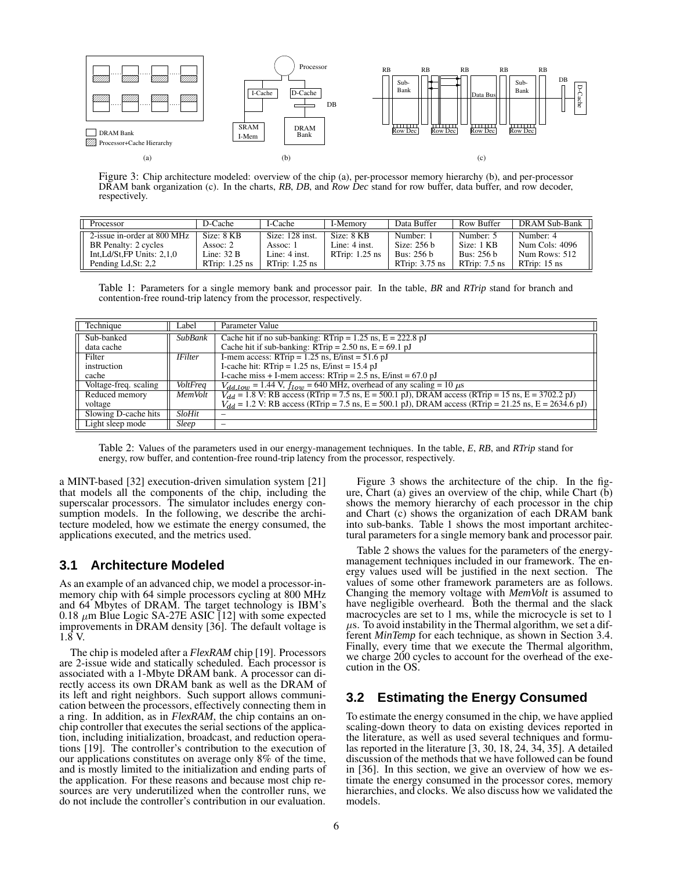

Figure 3: Chip architecture modeled: overview of the chip (a), per-processor memory hierarchy (b), and per-processor DRAM bank organization (c). In the charts, *RB*, *DB*, and *Row Dec* stand for row buffer, data buffer, and row decoder, respectively.

| Processor                     | D-Cache          | I-Cache          | 1-Memory         | Data Buffer      | Row Buffer      | DRAM Sub-Bank  |
|-------------------------------|------------------|------------------|------------------|------------------|-----------------|----------------|
| 2-issue in-order at 800 MHz   | Size: 8 KB       | Size: 128 inst.  | Size: 8 KB       | Number:          | Number: 5       | Number: 4      |
| BR Penalty: 2 cycles          | Assoc: 2         | Assoc: 1         | Line: 4 inst.    | Size: 256 b      | Size: 1 KB      | Num Cols: 4096 |
| Int, Ld/St, FP Units: $2,1,0$ | Line: $32B$      | Line: 4 inst.    | RTrip: $1.25$ ns | Bus: 256 b       | Bus: 256 b      | Num Rows: 512  |
| Pending Ld, St: 2,2           | RTrip: $1.25$ ns | RTrip: $1.25$ ns |                  | RTrip: $3.75$ ns | $RTrip: 7.5$ ns | $RTrip: 15$ ns |

Table 1: Parameters for a single memory bank and processor pair. In the table, *BR* and *RTrip* stand for branch and contention-free round-trip latency from the processor, respectively.

| Technique             | Label                         | Parameter Value                                                                                           |
|-----------------------|-------------------------------|-----------------------------------------------------------------------------------------------------------|
| Sub-banked            | $\overline{\textit{SubBank}}$ | Cache hit if no sub-banking: $RTrip = 1.25$ ns, $E = 222.8$ pJ                                            |
| data cache            |                               | Cache hit if sub-banking: $\overline{RTrip} = 2.50$ ns, $E = 69.1$ pJ                                     |
| Filter                | <b>IFilter</b>                | I-mem access: RTrip = $1.25$ ns, E/inst = $51.6$ pJ                                                       |
| instruction           |                               | I-cache hit: $RTrip = 1.25$ ns, $E/inst = 15.4$ pJ                                                        |
| cache                 |                               | I-cache miss + I-mem access: RTrip = 2.5 ns, $E/inst = 67.0$ pJ                                           |
| Voltage-freq. scaling | VoltFrea                      | $V_{dd,low} = 1.44$ V, $f_{low} = 640$ MHz, overhead of any scaling = 10 $\mu$ s                          |
| Reduced memory        | <b>MemVolt</b>                | $V_{dd} = 1.8$ V: RB access (RTrip = 7.5 ns, E = 500.1 pJ), DRAM access (RTrip = 15 ns, E = 3702.2 pJ)    |
| voltage               |                               | $V_{dd}$ = 1.2 V: RB access (RTrip = 7.5 ns, E = 500.1 pJ), DRAM access (RTrip = 21.25 ns, E = 2634.6 pJ) |
| Slowing D-cache hits  | SloHit                        |                                                                                                           |
| Light sleep mode      | Sleep                         |                                                                                                           |

Table 2: Values of the parameters used in our energy-management techniques. In the table, *E*, *RB*, and *RTrip* stand for energy, row buffer, and contention-free round-trip latency from the processor, respectively.

a MINT-based [32] execution-driven simulation system [21] that models all the components of the chip, including the superscalar processors. The simulator includes energy consumption models. In the following, we describe the architecture modeled, how we estimate the energy consumed, the applications executed, and the metrics used.

# **3.1 Architecture Modeled**

As an example of an advanced chip, we model a processor-inmemory chip with 64 simple processors cycling at 800 MHz and 64 Mbytes of DRAM. The target technology is IBM's 0.18  $\mu$ m Blue Logic SA-27E ASIC [12] with some expected improvements in DRAM density [36]. The default voltage is 1.8 V.

The chip is modeled after a *FlexRAM* chip [19]. Processors are 2-issue wide and statically scheduled. Each processor is associated with a 1-Mbyte DRAM bank. A processor can directly access its own DRAM bank as well as the DRAM of its left and right neighbors. Such support allows communication between the processors, effectively connecting them in a ring. In addition, as in *FlexRAM*, the chip contains an onchip controller that executes the serial sections of the application, including initialization, broadcast, and reduction operations [19]. The controller's contribution to the execution of our applications constitutes on average only 8% of the time, and is mostly limited to the initialization and ending parts of the application. For these reasons and because most chip resources are very underutilized when the controller runs, we do not include the controller's contribution in our evaluation.

Figure 3 shows the architecture of the chip. In the figure, Chart (a) gives an overview of the chip, while Chart (b) shows the memory hierarchy of each processor in the chip and Chart (c) shows the organization of each DRAM bank into sub-banks. Table 1 shows the most important architectural parameters for a single memory bank and processor pair.

Table 2 shows the values for the parameters of the energymanagement techniques included in our framework. The energy values used will be justified in the next section. The values of some other framework parameters are as follows. Changing the memory voltage with *MemVolt* is assumed to have negligible overheard. Both the thermal and the slack macrocycles are set to 1 ms, while the microcycle is set to 1  $\mu$ s. To avoid instability in the Thermal algorithm, we set a different *MinTemp* for each technique, as shown in Section 3.4. Finally, every time that we execute the Thermal algorithm, we charge 200 cycles to account for the overhead of the execution in the OS.

# **3.2 Estimating the Energy Consumed**

To estimate the energy consumed in the chip, we have applied scaling-down theory to data on existing devices reported in the literature, as well as used several techniques and formulas reported in the literature [3, 30, 18, 24, 34, 35]. A detailed discussion of the methods that we have followed can be found in [36]. In this section, we give an overview of how we estimate the energy consumed in the processor cores, memory hierarchies, and clocks. We also discuss how we validated the models.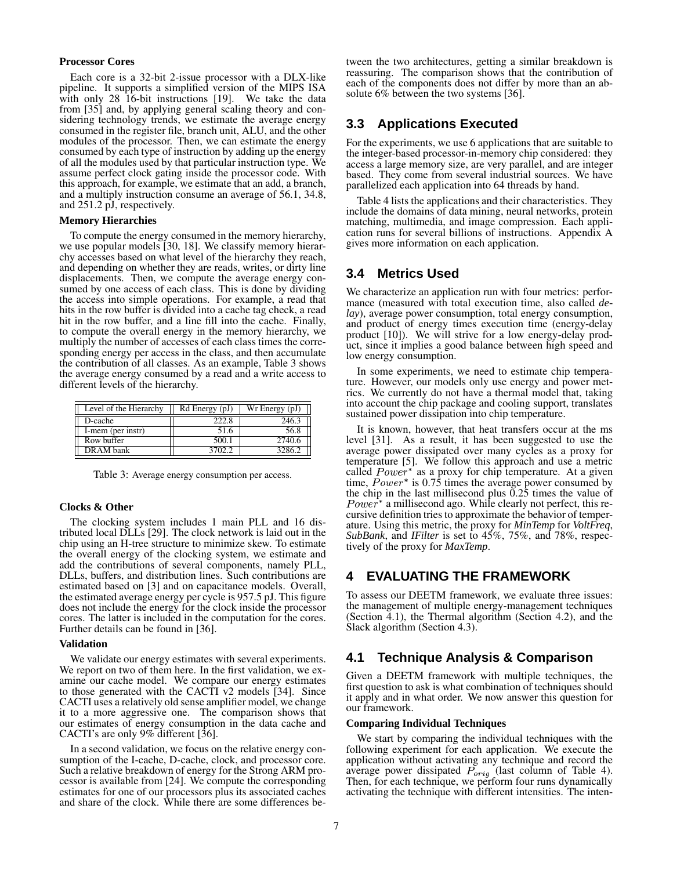## **Processor Cores**

Each core is a 32-bit 2-issue processor with a DLX-like pipeline. It supports a simplified version of the MIPS ISA with only 28 16-bit instructions [19]. We take the data from [35] and, by applying general scaling theory and considering technology trends, we estimate the average energy consumed in the register file, branch unit, ALU, and the other modules of the processor. Then, we can estimate the energy consumed by each type of instruction by adding up the energy of all the modules used by that particular instruction type. We assume perfect clock gating inside the processor code. With this approach, for example, we estimate that an add, a branch, and a multiply instruction consume an average of 56.1, 34.8, and 251.2 pJ, respectively.

## **Memory Hierarchies**

To compute the energy consumed in the memory hierarchy, we use popular models [30, 18]. We classify memory hierarchy accesses based on what level of the hierarchy they reach, and depending on whether they are reads, writes, or dirty line displacements. Then, we compute the average energy consumed by one access of each class. This is done by dividing the access into simple operations. For example, a read that hits in the row buffer is divided into a cache tag check, a read hit in the row buffer, and a line fill into the cache. Finally, to compute the overall energy in the memory hierarchy, we multiply the number of accesses of each class times the corresponding energy per access in the class, and then accumulate the contribution of all classes. As an example, Table 3 shows the average energy consumed by a read and a write access to different levels of the hierarchy.

| Level of the Hierarchy | Rd Energy (pJ) | Wr Energy (pJ) |
|------------------------|----------------|----------------|
| D-cache                | 222.8          | 246.3          |
| I-mem (per instr)      | 51.6           | 56.8           |
| Row buffer             | 500.1          | 2740.6         |
| DRAM bank              | 3702.2         | 3286.2         |

Table 3: Average energy consumption per access.

## **Clocks & Other**

The clocking system includes 1 main PLL and 16 distributed local DLLs [29]. The clock network is laid out in the chip using an H-tree structure to minimize skew. To estimate the overall energy of the clocking system, we estimate and add the contributions of several components, namely PLL, DLLs, buffers, and distribution lines. Such contributions are estimated based on [3] and on capacitance models. Overall, the estimated average energy per cycle is 957.5 pJ. This figure does not include the energy for the clock inside the processor cores. The latter is included in the computation for the cores. Further details can be found in [36].

### **Validation**

We validate our energy estimates with several experiments. We report on two of them here. In the first validation, we examine our cache model. We compare our energy estimates to those generated with the CACTI v2 models [34]. Since CACTI uses a relatively old sense amplifier model, we change it to a more aggressive one. The comparison shows that our estimates of energy consumption in the data cache and CACTI's are only 9% different [36].

In a second validation, we focus on the relative energy consumption of the I-cache, D-cache, clock, and processor core. Such a relative breakdown of energy for the Strong ARM processor is available from [24]. We compute the corresponding estimates for one of our processors plus its associated caches and share of the clock. While there are some differences between the two architectures, getting a similar breakdown is reassuring. The comparison shows that the contribution of each of the components does not differ by more than an absolute 6% between the two systems [36].

## **3.3 Applications Executed**

For the experiments, we use 6 applications that are suitable to the integer-based processor-in-memory chip considered: they access a large memory size, are very parallel, and are integer based. They come from several industrial sources. We have parallelized each application into 64 threads by hand.

Table 4 lists the applications and their characteristics. They include the domains of data mining, neural networks, protein matching, multimedia, and image compression. Each application runs for several billions of instructions. Appendix A gives more information on each application.

## **3.4 Metrics Used**

We characterize an application run with four metrics: performance (measured with total execution time, also called *delay*), average power consumption, total energy consumption, and product of energy times execution time (energy-delay product [10]). We will strive for a low energy-delay product, since it implies a good balance between high speed and low energy consumption.

In some experiments, we need to estimate chip temperature. However, our models only use energy and power metrics. We currently do not have a thermal model that, taking into account the chip package and cooling support, translates sustained power dissipation into chip temperature.

It is known, however, that heat transfers occur at the ms level [31]. As a result, it has been suggested to use the average power dissipated over many cycles as a proxy for temperature [5]. We follow this approach and use a metric called  $Power^*$  as a proxy for chip temperature. At a given time,  $Power^*$  is 0.75 times the average power consumed by the chip in the last millisecond plus  $0.25$  times the value of  $Power^*$  a millisecond ago. While clearly not perfect, this recursive definition tries to approximate the behavior of temperature. Using this metric, the proxy for *MinTemp* for *VoltFreq*, *SubBank*, and *IFilter* is set to 45%, 75%, and 78%, respectively of the proxy for *MaxTemp*.

## **4 EVALUATING THE FRAMEWORK**

To assess our DEETM framework, we evaluate three issues: the management of multiple energy-management techniques (Section 4.1), the Thermal algorithm (Section 4.2), and the Slack algorithm (Section 4.3).

## **4.1 Technique Analysis & Comparison**

Given a DEETM framework with multiple techniques, the first question to ask is what combination of techniques should it apply and in what order. We now answer this question for our framework.

### **Comparing Individual Techniques**

We start by comparing the individual techniques with the following experiment for each application. We execute the application without activating any technique and record the average power dissipated  $\overline{P_{orig}}$  (last column of Table 4). Then, for each technique, we perform four runs dynamically activating the technique with different intensities. The inten-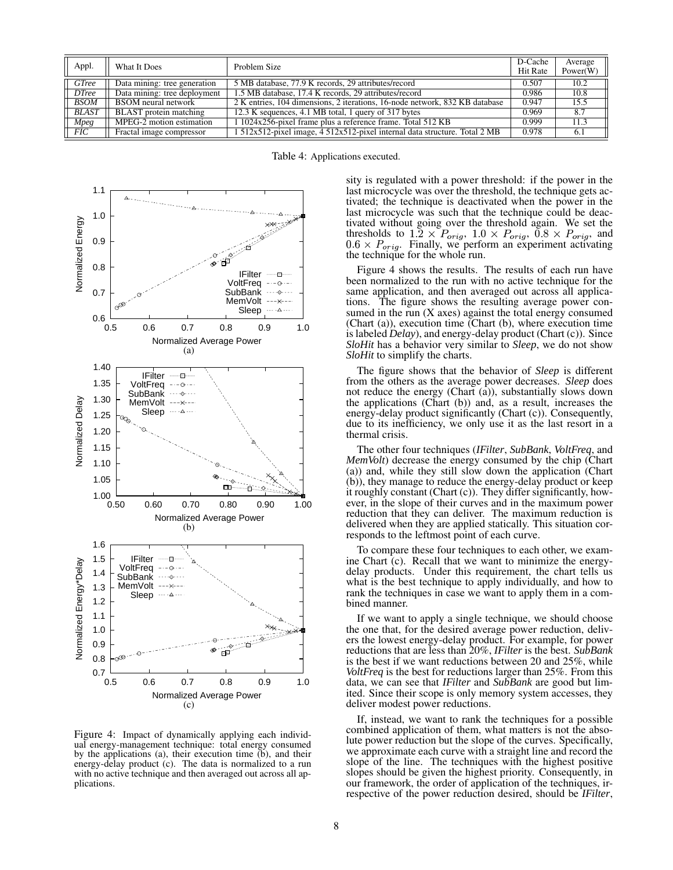| Appl.                        | What It Does                 | Problem Size                                                                       | D-Cache<br><b>Hit Rate</b> | Average<br>Power(W) |
|------------------------------|------------------------------|------------------------------------------------------------------------------------|----------------------------|---------------------|
| <b>GTree</b>                 | Data mining: tree generation | 5 MB database, 77.9 K records, 29 attributes/record                                | 0.507                      | 10.2                |
| DTree                        | Data mining: tree deployment | 1.5 MB database, 17.4 K records, 29 attributes/record                              | 0.986                      | 10.8                |
| <b>BSOM</b>                  | <b>BSOM</b> neural network   | 2 K entries, 104 dimensions, 2 iterations, 16-node network, 832 KB database        | 0.947                      | 15.5                |
| <b>BLAST</b>                 | BLAST protein matching       | $\overline{12.3}$ K sequences, 4.1 MB total, 1 query of 317 bytes                  | 0.969                      | 8.7                 |
| <i>Mpeg</i>                  | MPEG-2 motion estimation     | 1 1024x256-pixel frame plus a reference frame. Total 512 KB                        | 0.999                      | 11.3                |
| $\overline{\phantom{a}}$ FIC | Fractal image compressor     | $1\,512x512$ -pixel image, $4\,512x512$ -pixel internal data structure. Total 2 MB | 0.978                      |                     |

Table 4: Applications executed.



Figure 4: Impact of dynamically applying each individual energy-management technique: total energy consumed by the applications (a), their execution time  $(b)$ , and their energy-delay product (c). The data is normalized to a run with no active technique and then averaged out across all applications.

sity is regulated with a power threshold: if the power in the last microcycle was over the threshold, the technique gets activated; the technique is deactivated when the power in the last microcycle was such that the technique could be deactivated without going over the threshold again. We set the thresholds to  $1.\overline{2} \times P_{orig}$ ,  $1.0 \times P_{orig}$ ,  $0.\overline{8} \times P_{orig}$ , and  $0.6 \times P_{orig}$ . Finally, we perform an experiment activating the technique for the whole run.

Figure 4 shows the results. The results of each run have been normalized to the run with no active technique for the same application, and then averaged out across all applications. The figure shows the resulting average power consumed in the run (X axes) against the total energy consumed (Chart (a)), execution time (Chart (b), where execution time is labeled *Delay*), and energy-delay product (Chart (c)). Since *SloHit* has a behavior very similar to *Sleep*, we do not show *SloHit* to simplify the charts.

The figure shows that the behavior of *Sleep* is different from the others as the average power decreases. *Sleep* does not reduce the energy (Chart (a)), substantially slows down the applications (Chart (b)) and, as a result, increases the energy-delay product significantly (Chart (c)). Consequently, due to its inefficiency, we only use it as the last resort in a thermal crisis.

The other four techniques (*IFilter*, *SubBank*, *VoltFreq*, and *MemVolt*) decrease the energy consumed by the chip (Chart (a)) and, while they still slow down the application (Chart (b)), they manage to reduce the energy-delay product or keep it roughly constant (Chart (c)). They differ significantly, however, in the slope of their curves and in the maximum power reduction that they can deliver. The maximum reduction is delivered when they are applied statically. This situation corresponds to the leftmost point of each curve.

To compare these four techniques to each other, we examine Chart (c). Recall that we want to minimize the energydelay products. Under this requirement, the chart tells us what is the best technique to apply individually, and how to rank the techniques in case we want to apply them in a combined manner.

If we want to apply a single technique, we should choose the one that, for the desired average power reduction, delivers the lowest energy-delay product. For example, for power reductions that are less than 20%, *IFilter* is the best. *SubBank* is the best if we want reductions between 20 and 25%, while *VoltFreq* is the best for reductions larger than 25%. From this data, we can see that *IFilter* and *SubBank* are good but limited. Since their scope is only memory system accesses, they deliver modest power reductions.

If, instead, we want to rank the techniques for a possible combined application of them, what matters is not the absolute power reduction but the slope of the curves. Specifically, we approximate each curve with a straight line and record the slope of the line. The techniques with the highest positive slopes should be given the highest priority. Consequently, in our framework, the order of application of the techniques, irrespective of the power reduction desired, should be *IFilter*,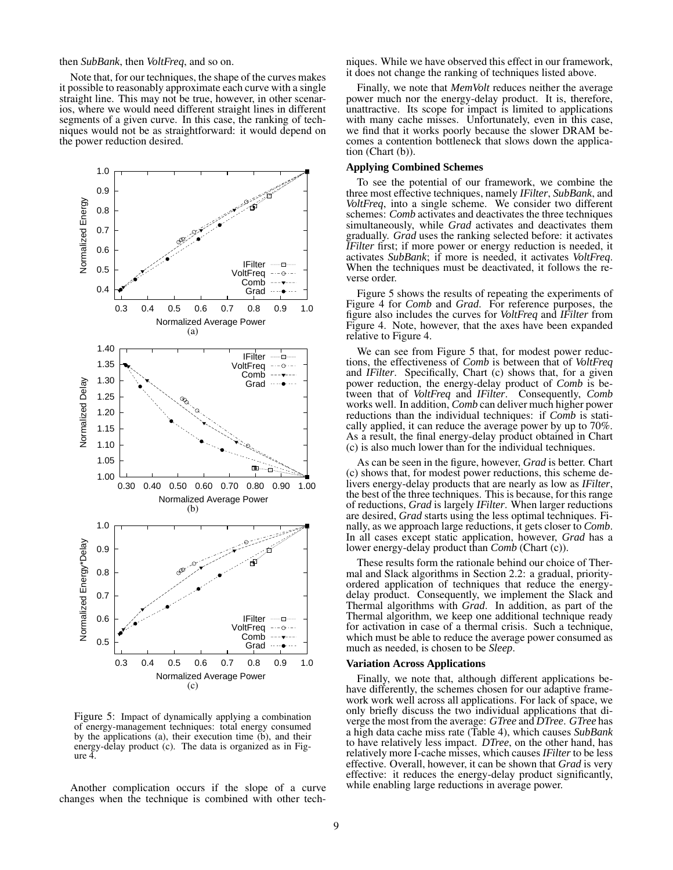then *SubBank*, then *VoltFreq*, and so on.

Note that, for our techniques, the shape of the curves makes it possible to reasonably approximate each curve with a single straight line. This may not be true, however, in other scenarios, where we would need different straight lines in different segments of a given curve. In this case, the ranking of techniques would not be as straightforward: it would depend on the power reduction desired.



Figure 5: Impact of dynamically applying a combination of energy-management techniques: total energy consumed by the applications (a), their execution time (b), and their energy-delay product (c). The data is organized as in Figure 4.

Another complication occurs if the slope of a curve changes when the technique is combined with other techniques. While we have observed this effect in our framework, it does not change the ranking of techniques listed above.

Finally, we note that *MemVolt* reduces neither the average power much nor the energy-delay product. It is, therefore, unattractive. Its scope for impact is limited to applications with many cache misses. Unfortunately, even in this case, we find that it works poorly because the slower DRAM becomes a contention bottleneck that slows down the application (Chart (b)).

### **Applying Combined Schemes**

To see the potential of our framework, we combine the three most effective techniques, namely *IFilter*, *SubBank*, and *VoltFreq*, into a single scheme. We consider two different schemes: *Comb* activates and deactivates the three techniques simultaneously, while *Grad* activates and deactivates them gradually. *Grad* uses the ranking selected before: it activates *IFilter* first; if more power or energy reduction is needed, it activates *SubBank*; if more is needed, it activates *VoltFreq*. When the techniques must be deactivated, it follows the reverse order.

Figure 5 shows the results of repeating the experiments of Figure 4 for *Comb* and *Grad*. For reference purposes, the figure also includes the curves for *VoltFreq* and *IFilter* from Figure 4. Note, however, that the axes have been expanded relative to Figure 4.

We can see from Figure 5 that, for modest power reductions, the effectiveness of *Comb* is between that of *VoltFreq* and *IFilter*. Specifically, Chart (c) shows that, for a given power reduction, the energy-delay product of *Comb* is between that of *VoltFreq* and *IFilter*. Consequently, *Comb* works well. In addition, *Comb* can deliver much higher power reductions than the individual techniques: if *Comb* is statically applied, it can reduce the average power by up to 70%. As a result, the final energy-delay product obtained in Chart (c) is also much lower than for the individual techniques.

As can be seen in the figure, however, *Grad* is better. Chart (c) shows that, for modest power reductions, this scheme delivers energy-delay products that are nearly as low as *IFilter*, the best of the three techniques. This is because, for this range of reductions, *Grad* is largely *IFilter*. When larger reductions are desired, *Grad* starts using the less optimal techniques. Finally, as we approach large reductions, it gets closer to *Comb*. In all cases except static application, however, *Grad* has a lower energy-delay product than *Comb* (Chart (c)).

These results form the rationale behind our choice of Thermal and Slack algorithms in Section 2.2: a gradual, priorityordered application of techniques that reduce the energydelay product. Consequently, we implement the Slack and Thermal algorithms with *Grad*. In addition, as part of the Thermal algorithm, we keep one additional technique ready for activation in case of a thermal crisis. Such a technique, which must be able to reduce the average power consumed as much as needed, is chosen to be *Sleep*.

#### **Variation Across Applications**

Finally, we note that, although different applications behave differently, the schemes chosen for our adaptive framework work well across all applications. For lack of space, we only briefly discuss the two individual applications that diverge the most from the average: *GTree* and *DTree*. *GTree* has a high data cache miss rate (Table 4), which causes *SubBank* to have relatively less impact. *DTree*, on the other hand, has relatively more I-cache misses, which causes *IFilter* to be less effective. Overall, however, it can be shown that *Grad* is very effective: it reduces the energy-delay product significantly, while enabling large reductions in average power.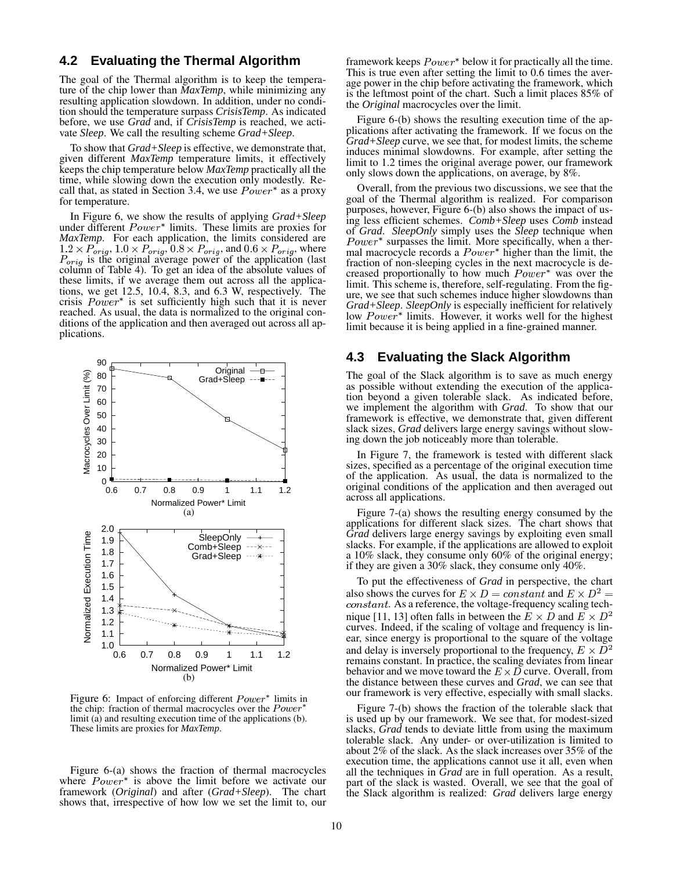## **4.2 Evaluating the Thermal Algorithm**

The goal of the Thermal algorithm is to keep the temperature of the chip lower than *MaxTemp*, while minimizing any resulting application slowdown. In addition, under no condition should the temperature surpass *CrisisTemp*. As indicated before, we use *Grad* and, if *CrisisTemp* is reached, we activate *Sleep*. We call the resulting scheme *Grad+Sleep*.

To show that *Grad+Sleep* is effective, we demonstrate that, given different *MaxTemp* temperature limits, it effectively keeps the chip temperature below *MaxTemp* practically all the time, while slowing down the execution only modestly. Recall that, as stated in Section 3.4, we use  $Power^*$  as a proxy for temperature.

In Figure 6, we show the results of applying *Grad+Sleep* under different  $Power*$  limits. These limits are proxies for *MaxTemp*. For each application, the limits considered are  $1.2 \times P_{orig}$ ,  $1.0 \times P_{orig}$ ,  $0.8 \times P_{orig}$ , and  $0.6 \times P_{orig}$ , where  $P_{orig}$  is the original average power of the application (last column of Table 4). To get an idea of the absolute values of these limits, if we average them out across all the applications, we get 12.5, 10.4, 8.3, and 6.3 W, respectively. The crisis  $Power^*$  is set sufficiently high such that it is never reached. As usual, the data is normalized to the original conditions of the application and then averaged out across all applications.



Figure 6: Impact of enforcing different Power\* limits in the chip: fraction of thermal macrocycles over the  $Power^*$ limit (a) and resulting execution time of the applications (b). These limits are proxies for *MaxTemp*.

Figure 6-(a) shows the fraction of thermal macrocycles where  $Power^*$  is above the limit before we activate our framework (*Original*) and after (*Grad+Sleep*). The chart shows that, irrespective of how low we set the limit to, our

framework keeps  $Power^*$  below it for practically all the time. This is true even after setting the limit to 0.6 times the average power in the chip before activating the framework, which is the leftmost point of the chart. Such a limit places 85% of the *Original* macrocycles over the limit.

Figure 6-(b) shows the resulting execution time of the applications after activating the framework. If we focus on the *Grad+Sleep* curve, we see that, for modest limits, the scheme induces minimal slowdowns. For example, after setting the limit to 1.2 times the original average power, our framework only slows down the applications, on average, by 8%.

Overall, from the previous two discussions, we see that the goal of the Thermal algorithm is realized. For comparison purposes, however, Figure 6-(b) also shows the impact of using less efficient schemes. *Comb+Sleep* uses *Comb* instead of *Grad*. *SleepOnly* simply uses the *Sleep* technique when  $Power^*$  surpasses the limit. More specifically, when a thermal macrocycle records a  $Power^*$  higher than the limit, the fraction of non-sleeping cycles in the next macrocycle is decreased proportionally to how much  $Power^*$  was over the limit. This scheme is, therefore, self-regulating. From the figure, we see that such schemes induce higher slowdowns than *Grad+Sleep*. *SleepOnly* is especially inefficient for relatively low  $Power^*$  limits. However, it works well for the highest limit because it is being applied in a fine-grained manner.

## **4.3 Evaluating the Slack Algorithm**

The goal of the Slack algorithm is to save as much energy as possible without extending the execution of the application beyond a given tolerable slack. As indicated before, we implement the algorithm with *Grad*. To show that our framework is effective, we demonstrate that, given different slack sizes, *Grad* delivers large energy savings without slowing down the job noticeably more than tolerable.

In Figure 7, the framework is tested with different slack sizes, specified as a percentage of the original execution time of the application. As usual, the data is normalized to the original conditions of the application and then averaged out across all applications.

Figure 7-(a) shows the resulting energy consumed by the applications for different slack sizes. The chart shows that *Grad* delivers large energy savings by exploiting even small slacks. For example, if the applications are allowed to exploit a 10% slack, they consume only 60% of the original energy; if they are given a 30% slack, they consume only 40%.

To put the effectiveness of *Grad* in perspective, the chart also shows the curves for  $E \times D = constant$  and  $E \times D^2 =$  $constant$ . As a reference, the voltage-frequency scaling technique [11, 13] often falls in between the  $E \times D$  and  $E \times D^2$ curves. Indeed, if the scaling of voltage and frequency is linear, since energy is proportional to the square of the voltage and delay is inversely proportional to the frequency,  $E \times D^2$ remains constant. In practice, the scaling deviates from linear behavior and we move toward the  $E \times D$  curve. Overall, from the distance between these curves and *Grad*, we can see that our framework is very effective, especially with small slacks.

Figure 7-(b) shows the fraction of the tolerable slack that is used up by our framework. We see that, for modest-sized slacks, *Grad* tends to deviate little from using the maximum tolerable slack. Any under- or over-utilization is limited to about 2% of the slack. As the slack increases over 35% of the execution time, the applications cannot use it all, even when all the techniques in *Grad* are in full operation. As a result, part of the slack is wasted. Overall, we see that the goal of the Slack algorithm is realized: *Grad* delivers large energy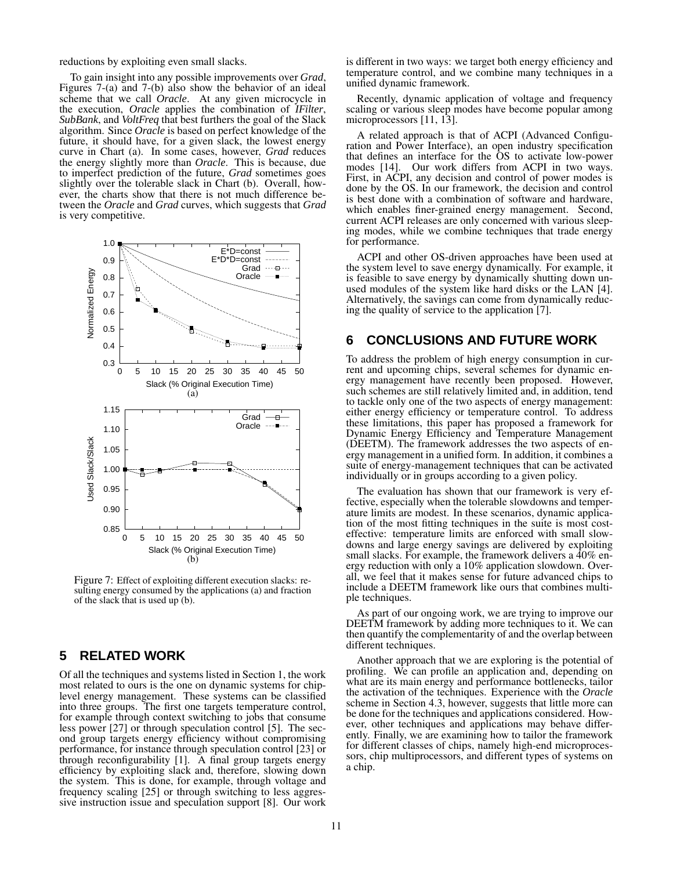reductions by exploiting even small slacks.

To gain insight into any possible improvements over *Grad*, Figures 7-(a) and 7-(b) also show the behavior of an ideal scheme that we call *Oracle*. At any given microcycle in the execution, *Oracle* applies the combination of *IFilter*, *SubBank*, and *VoltFreq* that best furthers the goal of the Slack algorithm. Since *Oracle* is based on perfect knowledge of the future, it should have, for a given slack, the lowest energy curve in Chart (a). In some cases, however, *Grad* reduces the energy slightly more than *Oracle*. This is because, due to imperfect prediction of the future, *Grad* sometimes goes slightly over the tolerable slack in Chart (b). Overall, however, the charts show that there is not much difference between the *Oracle* and *Grad* curves, which suggests that *Grad* is very competitive.



Figure 7: Effect of exploiting different execution slacks: resulting energy consumed by the applications (a) and fraction of the slack that is used up (b).

## **5 RELATED WORK**

Of all the techniques and systems listed in Section 1, the work most related to ours is the one on dynamic systems for chiplevel energy management. These systems can be classified into three groups. The first one targets temperature control, for example through context switching to jobs that consume less power [27] or through speculation control [5]. The second group targets energy efficiency without compromising performance, for instance through speculation control [23] or through reconfigurability [1]. A final group targets energy efficiency by exploiting slack and, therefore, slowing down the system. This is done, for example, through voltage and frequency scaling [25] or through switching to less aggressive instruction issue and speculation support [8]. Our work is different in two ways: we target both energy efficiency and temperature control, and we combine many techniques in a unified dynamic framework.

Recently, dynamic application of voltage and frequency scaling or various sleep modes have become popular among microprocessors [11, 13].

A related approach is that of ACPI (Advanced Configuration and Power Interface), an open industry specification that defines an interface for the OS to activate low-power modes [14]. Our work differs from ACPI in two ways. First, in ACPI, any decision and control of power modes is done by the OS. In our framework, the decision and control is best done with a combination of software and hardware, which enables finer-grained energy management. Second, current ACPI releases are only concerned with various sleeping modes, while we combine techniques that trade energy for performance.

ACPI and other OS-driven approaches have been used at the system level to save energy dynamically. For example, it is feasible to save energy by dynamically shutting down unused modules of the system like hard disks or the LAN [4]. Alternatively, the savings can come from dynamically reducing the quality of service to the application [7].

## **6 CONCLUSIONS AND FUTURE WORK**

To address the problem of high energy consumption in current and upcoming chips, several schemes for dynamic energy management have recently been proposed. However, such schemes are still relatively limited and, in addition, tend to tackle only one of the two aspects of energy management: either energy efficiency or temperature control. To address these limitations, this paper has proposed a framework for Dynamic Energy Efficiency and Temperature Management (DEETM). The framework addresses the two aspects of energy management in a unified form. In addition, it combines a suite of energy-management techniques that can be activated individually or in groups according to a given policy.

The evaluation has shown that our framework is very effective, especially when the tolerable slowdowns and temperature limits are modest. In these scenarios, dynamic application of the most fitting techniques in the suite is most costeffective: temperature limits are enforced with small slowdowns and large energy savings are delivered by exploiting small slacks. For example, the framework delivers a 40% energy reduction with only a 10% application slowdown. Overall, we feel that it makes sense for future advanced chips to include a DEETM framework like ours that combines multiple techniques.

As part of our ongoing work, we are trying to improve our DEETM framework by adding more techniques to it. We can then quantify the complementarity of and the overlap between different techniques.

Another approach that we are exploring is the potential of profiling. We can profile an application and, depending on what are its main energy and performance bottlenecks, tailor the activation of the techniques. Experience with the *Oracle* scheme in Section 4.3, however, suggests that little more can be done for the techniques and applications considered. However, other techniques and applications may behave differently. Finally, we are examining how to tailor the framework for different classes of chips, namely high-end microprocessors, chip multiprocessors, and different types of systems on a chip.